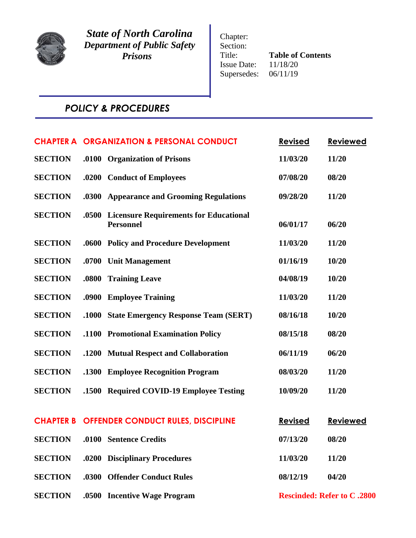

*State of North Carolina Department of Public Safety Prisons*

Chapter: Section: Title: **Table of Contents**<br>Issue Date:  $11/18/20$ Issue Date: 11/18/20<br>Supersedes: 06/11/19 Supersedes:

# *POLICY & PROCEDURES*

|                |       | <b>CHAPTER A ORGANIZATION &amp; PERSONAL CONDUCT</b>              | <b>Revised</b> | <b>Reviewed</b>                    |
|----------------|-------|-------------------------------------------------------------------|----------------|------------------------------------|
| <b>SECTION</b> |       | .0100 Organization of Prisons                                     | 11/03/20       | 11/20                              |
| <b>SECTION</b> |       | .0200 Conduct of Employees                                        | 07/08/20       | 08/20                              |
| <b>SECTION</b> |       | .0300 Appearance and Grooming Regulations                         | 09/28/20       | 11/20                              |
| <b>SECTION</b> | .0500 | <b>Licensure Requirements for Educational</b><br><b>Personnel</b> | 06/01/17       | 06/20                              |
| <b>SECTION</b> |       | .0600 Policy and Procedure Development                            | 11/03/20       | 11/20                              |
| <b>SECTION</b> | .0700 | <b>Unit Management</b>                                            | 01/16/19       | 10/20                              |
| <b>SECTION</b> | .0800 | <b>Training Leave</b>                                             | 04/08/19       | 10/20                              |
| <b>SECTION</b> |       | .0900 Employee Training                                           | 11/03/20       | 11/20                              |
| <b>SECTION</b> | .1000 | <b>State Emergency Response Team (SERT)</b>                       | 08/16/18       | 10/20                              |
| <b>SECTION</b> |       | .1100 Promotional Examination Policy                              | 08/15/18       | 08/20                              |
| <b>SECTION</b> |       | .1200 Mutual Respect and Collaboration                            | 06/11/19       | 06/20                              |
| <b>SECTION</b> |       | .1300 Employee Recognition Program                                | 08/03/20       | 11/20                              |
| <b>SECTION</b> |       | .1500 Required COVID-19 Employee Testing                          | 10/09/20       | 11/20                              |
|                |       | <b>CHAPTER B OFFENDER CONDUCT RULES, DISCIPLINE</b>               | <b>Revised</b> | <b>Reviewed</b>                    |
| <b>SECTION</b> |       | .0100 Sentence Credits                                            | 07/13/20       | 08/20                              |
| <b>SECTION</b> |       | .0200 Disciplinary Procedures                                     | 11/03/20       | 11/20                              |
| <b>SECTION</b> |       | .0300 Offender Conduct Rules                                      | 08/12/19       | 04/20                              |
| <b>SECTION</b> |       | .0500 Incentive Wage Program                                      |                | <b>Rescinded: Refer to C .2800</b> |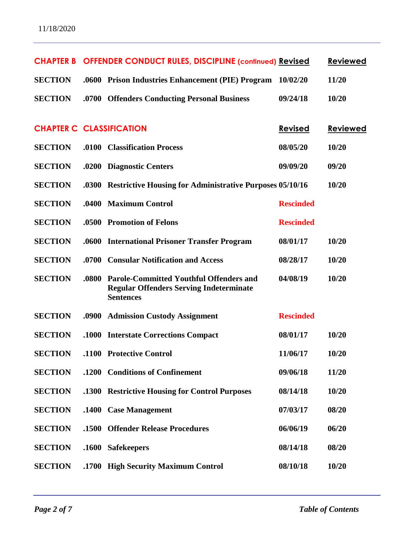|                                 |       | <b>CHAPTER B OFFENDER CONDUCT RULES, DISCIPLINE (continued) Revised</b>                                              |                  | <b>Reviewed</b> |
|---------------------------------|-------|----------------------------------------------------------------------------------------------------------------------|------------------|-----------------|
| <b>SECTION</b>                  |       | .0600 Prison Industries Enhancement (PIE) Program                                                                    | 10/02/20         | 11/20           |
| <b>SECTION</b>                  | .0700 | <b>Offenders Conducting Personal Business</b>                                                                        | 09/24/18         | 10/20           |
|                                 |       |                                                                                                                      |                  |                 |
| <b>CHAPTER C CLASSIFICATION</b> |       |                                                                                                                      | <b>Revised</b>   | <b>Reviewed</b> |
| <b>SECTION</b>                  | .0100 | <b>Classification Process</b>                                                                                        | 08/05/20         | 10/20           |
| <b>SECTION</b>                  | .0200 | <b>Diagnostic Centers</b>                                                                                            | 09/09/20         | 09/20           |
| <b>SECTION</b>                  | .0300 | <b>Restrictive Housing for Administrative Purposes 05/10/16</b>                                                      |                  | 10/20           |
| <b>SECTION</b>                  | .0400 | <b>Maximum Control</b>                                                                                               | <b>Rescinded</b> |                 |
| <b>SECTION</b>                  | .0500 | <b>Promotion of Felons</b>                                                                                           | <b>Rescinded</b> |                 |
| <b>SECTION</b>                  | .0600 | <b>International Prisoner Transfer Program</b>                                                                       | 08/01/17         | 10/20           |
| <b>SECTION</b>                  | .0700 | <b>Consular Notification and Access</b>                                                                              | 08/28/17         | 10/20           |
| <b>SECTION</b>                  | .0800 | <b>Parole-Committed Youthful Offenders and</b><br><b>Regular Offenders Serving Indeterminate</b><br><b>Sentences</b> | 04/08/19         | 10/20           |
| <b>SECTION</b>                  | .0900 | <b>Admission Custody Assignment</b>                                                                                  | <b>Rescinded</b> |                 |
| <b>SECTION</b>                  | .1000 | <b>Interstate Corrections Compact</b>                                                                                | 08/01/17         | 10/20           |
| <b>SECTION</b>                  |       | .1100 Protective Control                                                                                             | 11/06/17         | 10/20           |
| <b>SECTION</b>                  |       | .1200 Conditions of Confinement                                                                                      | 09/06/18         | 11/20           |
| <b>SECTION</b>                  |       | .1300 Restrictive Housing for Control Purposes                                                                       | 08/14/18         | 10/20           |
| <b>SECTION</b>                  | .1400 | <b>Case Management</b>                                                                                               | 07/03/17         | 08/20           |
| <b>SECTION</b>                  | .1500 | <b>Offender Release Procedures</b>                                                                                   | 06/06/19         | 06/20           |
| <b>SECTION</b>                  | .1600 | <b>Safekeepers</b>                                                                                                   | 08/14/18         | 08/20           |
| <b>SECTION</b>                  |       | .1700 High Security Maximum Control                                                                                  | 08/10/18         | 10/20           |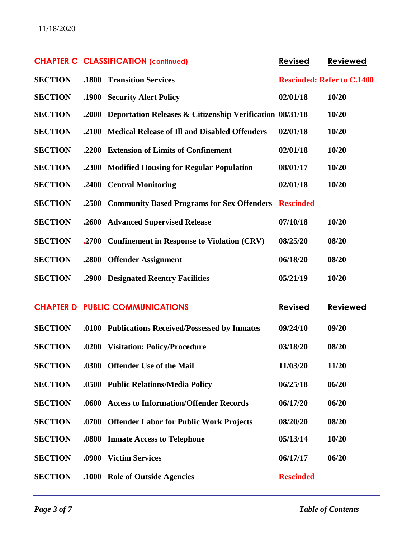|                | <b>CHAPTER C CLASSIFICATION (continued)</b>                    | <b>Revised</b>   | <b>Reviewed</b>                   |
|----------------|----------------------------------------------------------------|------------------|-----------------------------------|
| <b>SECTION</b> | .1800 Transition Services                                      |                  | <b>Rescinded: Refer to C.1400</b> |
| <b>SECTION</b> | .1900 Security Alert Policy                                    | 02/01/18         | 10/20                             |
| <b>SECTION</b> | .2000 Deportation Releases & Citizenship Verification 08/31/18 |                  | 10/20                             |
| <b>SECTION</b> | .2100 Medical Release of Ill and Disabled Offenders            | 02/01/18         | 10/20                             |
| <b>SECTION</b> | .2200 Extension of Limits of Confinement                       | 02/01/18         | 10/20                             |
| <b>SECTION</b> | .2300 Modified Housing for Regular Population                  | 08/01/17         | 10/20                             |
| <b>SECTION</b> | .2400 Central Monitoring                                       | 02/01/18         | 10/20                             |
| <b>SECTION</b> | .2500 Community Based Programs for Sex Offenders               | <b>Rescinded</b> |                                   |
| <b>SECTION</b> | .2600 Advanced Supervised Release                              | 07/10/18         | 10/20                             |
| <b>SECTION</b> | .2700 Confinement in Response to Violation (CRV)               | 08/25/20         | 08/20                             |
| <b>SECTION</b> | .2800 Offender Assignment                                      | 06/18/20         | 08/20                             |
| <b>SECTION</b> | .2900 Designated Reentry Facilities                            | 05/21/19         | 10/20                             |
|                | <b>CHAPTER D PUBLIC COMMUNICATIONS</b>                         | <b>Revised</b>   | <b>Reviewed</b>                   |
| <b>SECTION</b> | .0100 Publications Received/Possessed by Inmates               | 09/24/10         | 09/20                             |
| <b>SECTION</b> | .0200 Visitation: Policy/Procedure                             | 03/18/20         | 08/20                             |
| <b>SECTION</b> | .0300 Offender Use of the Mail                                 | 11/03/20         | 11/20                             |
| <b>SECTION</b> | .0500 Public Relations/Media Policy                            | 06/25/18         | 06/20                             |
| <b>SECTION</b> | .0600 Access to Information/Offender Records                   | 06/17/20         | 06/20                             |
| <b>SECTION</b> | .0700 Offender Labor for Public Work Projects                  | 08/20/20         | 08/20                             |
| <b>SECTION</b> | .0800 Inmate Access to Telephone                               | 05/13/14         | 10/20                             |
| <b>SECTION</b> | .0900 Victim Services                                          | 06/17/17         | 06/20                             |
| <b>SECTION</b> | .1000 Role of Outside Agencies                                 | <b>Rescinded</b> |                                   |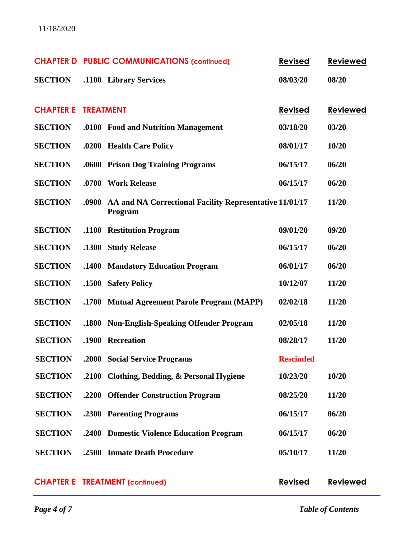| 11/18/2020 |  |
|------------|--|
|------------|--|

|                  |                  | <b>CHAPTER D PUBLIC COMMUNICATIONS (continued)</b>                 | <b>Revised</b>   | <b>Reviewed</b> |
|------------------|------------------|--------------------------------------------------------------------|------------------|-----------------|
| <b>SECTION</b>   |                  | .1100 Library Services                                             | 08/03/20         | 08/20           |
|                  |                  |                                                                    |                  |                 |
| <b>CHAPTER E</b> | <b>TREATMENT</b> |                                                                    | <b>Revised</b>   | <b>Reviewed</b> |
| <b>SECTION</b>   |                  | .0100 Food and Nutrition Management                                | 03/18/20         | 03/20           |
| <b>SECTION</b>   |                  | .0200 Health Care Policy                                           | 08/01/17         | 10/20           |
| <b>SECTION</b>   |                  | .0600 Prison Dog Training Programs                                 | 06/15/17         | 06/20           |
| <b>SECTION</b>   |                  | .0700 Work Release                                                 | 06/15/17         | 06/20           |
| <b>SECTION</b>   | .0900            | AA and NA Correctional Facility Representative 11/01/17<br>Program |                  | 11/20           |
| <b>SECTION</b>   | <b>.1100</b>     | <b>Restitution Program</b>                                         | 09/01/20         | 09/20           |
| <b>SECTION</b>   | .1300            | <b>Study Release</b>                                               | 06/15/17         | 06/20           |
| <b>SECTION</b>   |                  | .1400 Mandatory Education Program                                  | 06/01/17         | 06/20           |
| <b>SECTION</b>   | .1500            | <b>Safety Policy</b>                                               | 10/12/07         | 11/20           |
| <b>SECTION</b>   | .1700            | <b>Mutual Agreement Parole Program (MAPP)</b>                      | 02/02/18         | 11/20           |
| <b>SECTION</b>   |                  | .1800 Non-English-Speaking Offender Program                        | 02/05/18         | 11/20           |
| <b>SECTION</b>   | .1900            | <b>Recreation</b>                                                  | 08/28/17         | 11/20           |
| <b>SECTION</b>   |                  | .2000 Social Service Programs                                      | <b>Rescinded</b> |                 |
| <b>SECTION</b>   |                  | .2100 Clothing, Bedding, & Personal Hygiene                        | 10/23/20         | 10/20           |
| <b>SECTION</b>   |                  | .2200 Offender Construction Program                                | 08/25/20         | 11/20           |
| <b>SECTION</b>   |                  | .2300 Parenting Programs                                           | 06/15/17         | 06/20           |
| <b>SECTION</b>   |                  | .2400 Domestic Violence Education Program                          | 06/15/17         | 06/20           |
| <b>SECTION</b>   | .2500            | <b>Inmate Death Procedure</b>                                      | 05/10/17         | 11/20           |
|                  |                  | <b>CHAPTER E TREATMENT (continued)</b>                             | <b>Revised</b>   | <b>Reviewed</b> |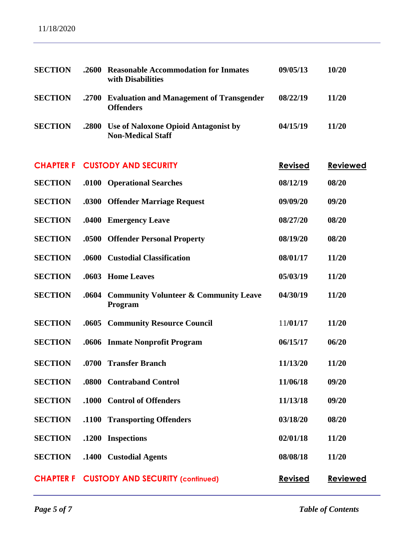| <b>SECTION</b>   | .2600        | <b>Reasonable Accommodation for Inmates</b><br>with Disabilities        | 09/05/13       | 10/20           |
|------------------|--------------|-------------------------------------------------------------------------|----------------|-----------------|
| <b>SECTION</b>   | .2700        | <b>Evaluation and Management of Transgender</b><br><b>Offenders</b>     | 08/22/19       | 11/20           |
| <b>SECTION</b>   | .2800        | <b>Use of Naloxone Opioid Antagonist by</b><br><b>Non-Medical Staff</b> | 04/15/19       | 11/20           |
| <b>CHAPTER F</b> |              | <b>CUSTODY AND SECURITY</b>                                             | <b>Revised</b> | <b>Reviewed</b> |
| <b>SECTION</b>   |              | .0100 Operational Searches                                              | 08/12/19       | 08/20           |
| <b>SECTION</b>   |              | .0300 Offender Marriage Request                                         | 09/09/20       | 09/20           |
| <b>SECTION</b>   | .0400        | <b>Emergency Leave</b>                                                  | 08/27/20       | 08/20           |
| <b>SECTION</b>   |              | .0500 Offender Personal Property                                        | 08/19/20       | 08/20           |
| <b>SECTION</b>   | .0600        | <b>Custodial Classification</b>                                         | 08/01/17       | 11/20           |
| <b>SECTION</b>   | .0603        | <b>Home Leaves</b>                                                      | 05/03/19       | 11/20           |
| <b>SECTION</b>   | .0604        | <b>Community Volunteer &amp; Community Leave</b><br>Program             | 04/30/19       | 11/20           |
| <b>SECTION</b>   | .0605        | <b>Community Resource Council</b>                                       | 11/01/17       | 11/20           |
| <b>SECTION</b>   |              | .0606 Inmate Nonprofit Program                                          | 06/15/17       | 06/20           |
| <b>SECTION</b>   | .0700        | <b>Transfer Branch</b>                                                  | 11/13/20       | 11/20           |
| <b>SECTION</b>   |              | .0800 Contraband Control                                                | 11/06/18       | 09/20           |
| <b>SECTION</b>   | .1000        | <b>Control of Offenders</b>                                             | 11/13/18       | 09/20           |
| <b>SECTION</b>   | <b>.1100</b> | <b>Transporting Offenders</b>                                           | 03/18/20       | 08/20           |
| <b>SECTION</b>   | .1200        | <b>Inspections</b>                                                      | 02/01/18       | 11/20           |
| <b>SECTION</b>   | .1400        | <b>Custodial Agents</b>                                                 | 08/08/18       | 11/20           |
| <b>CHAPTER F</b> |              | <b>CUSTODY AND SECURITY (continued)</b>                                 | <b>Revised</b> | <b>Reviewed</b> |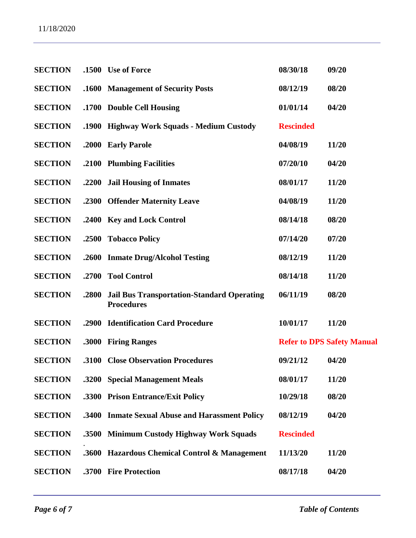| <b>SECTION</b> |       | .1500 Use of Force                                                     | 08/30/18         | 09/20                             |
|----------------|-------|------------------------------------------------------------------------|------------------|-----------------------------------|
| <b>SECTION</b> |       | .1600 Management of Security Posts                                     | 08/12/19         | 08/20                             |
| <b>SECTION</b> |       | .1700 Double Cell Housing                                              | 01/01/14         | 04/20                             |
| <b>SECTION</b> |       | .1900 Highway Work Squads - Medium Custody                             | <b>Rescinded</b> |                                   |
| <b>SECTION</b> | .2000 | <b>Early Parole</b>                                                    | 04/08/19         | 11/20                             |
| <b>SECTION</b> |       | .2100 Plumbing Facilities                                              | 07/20/10         | 04/20                             |
| <b>SECTION</b> |       | .2200 Jail Housing of Inmates                                          | 08/01/17         | 11/20                             |
| <b>SECTION</b> |       | .2300 Offender Maternity Leave                                         | 04/08/19         | 11/20                             |
| <b>SECTION</b> |       | .2400 Key and Lock Control                                             | 08/14/18         | 08/20                             |
| <b>SECTION</b> | .2500 | <b>Tobacco Policy</b>                                                  | 07/14/20         | 07/20                             |
| <b>SECTION</b> | .2600 | <b>Inmate Drug/Alcohol Testing</b>                                     | 08/12/19         | 11/20                             |
| <b>SECTION</b> | .2700 | <b>Tool Control</b>                                                    | 08/14/18         | 11/20                             |
| <b>SECTION</b> | .2800 | <b>Jail Bus Transportation-Standard Operating</b><br><b>Procedures</b> | 06/11/19         | 08/20                             |
| <b>SECTION</b> | .2900 | <b>Identification Card Procedure</b>                                   | 10/01/17         | 11/20                             |
| <b>SECTION</b> |       | .3000 Firing Ranges                                                    |                  | <b>Refer to DPS Safety Manual</b> |
| <b>SECTION</b> |       | .3100 Close Observation Procedures                                     | 09/21/12         | 04/20                             |
| <b>SECTION</b> |       | .3200 Special Management Meals                                         | 08/01/17         | 11/20                             |
| <b>SECTION</b> |       | .3300 Prison Entrance/Exit Policy                                      | 10/29/18         | 08/20                             |
| <b>SECTION</b> | .3400 | <b>Inmate Sexual Abuse and Harassment Policy</b>                       | 08/12/19         | 04/20                             |
| <b>SECTION</b> |       | .3500 Minimum Custody Highway Work Squads                              | <b>Rescinded</b> |                                   |
| <b>SECTION</b> | .3600 | Hazardous Chemical Control & Management                                | 11/13/20         | 11/20                             |
| <b>SECTION</b> |       | .3700 Fire Protection                                                  | 08/17/18         | 04/20                             |